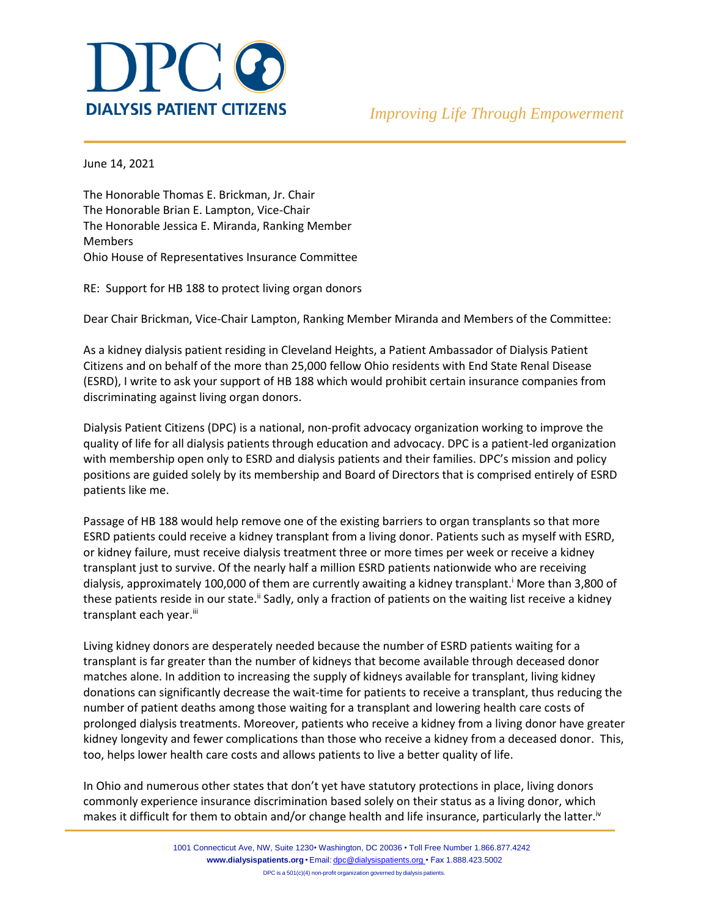

June 14, 2021

The Honorable Thomas E. Brickman, Jr. Chair The Honorable Brian E. Lampton, Vice-Chair The Honorable Jessica E. Miranda, Ranking Member Members Ohio House of Representatives Insurance Committee

RE: Support for HB 188 to protect living organ donors

Dear Chair Brickman, Vice-Chair Lampton, Ranking Member Miranda and Members of the Committee:

As a kidney dialysis patient residing in Cleveland Heights, a Patient Ambassador of Dialysis Patient Citizens and on behalf of the more than 25,000 fellow Ohio residents with End State Renal Disease (ESRD), I write to ask your support of HB 188 which would prohibit certain insurance companies from discriminating against living organ donors.

Dialysis Patient Citizens (DPC) is a national, non-profit advocacy organization working to improve the quality of life for all dialysis patients through education and advocacy. DPC is a patient-led organization with membership open only to ESRD and dialysis patients and their families. DPC's mission and policy positions are guided solely by its membership and Board of Directors that is comprised entirely of ESRD patients like me.

Passage of HB 188 would help remove one of the existing barriers to organ transplants so that more ESRD patients could receive a kidney transplant from a living donor. Patients such as myself with ESRD, or kidney failure, must receive dialysis treatment three or more times per week or receive a kidney transplant just to survive. Of the nearly half a million ESRD patients nationwide who are receiving dialysis, approximately 100,000 of them are currently awaiting a kidney transplant.<sup>i</sup> More than 3,800 of these patients reside in our state.<sup>ii</sup> Sadly, only a fraction of patients on the waiting list receive a kidney transplant each year.iii

Living kidney donors are desperately needed because the number of ESRD patients waiting for a transplant is far greater than the number of kidneys that become available through deceased donor matches alone. In addition to increasing the supply of kidneys available for transplant, living kidney donations can significantly decrease the wait-time for patients to receive a transplant, thus reducing the number of patient deaths among those waiting for a transplant and lowering health care costs of prolonged dialysis treatments. Moreover, patients who receive a kidney from a living donor have greater kidney longevity and fewer complications than those who receive a kidney from a deceased donor. This, too, helps lower health care costs and allows patients to live a better quality of life.

In Ohio and numerous other states that don't yet have statutory protections in place, living donors commonly experience insurance discrimination based solely on their status as a living donor, which makes it difficult for them to obtain and/or change health and life insurance, particularly the latter.<sup>iv</sup>